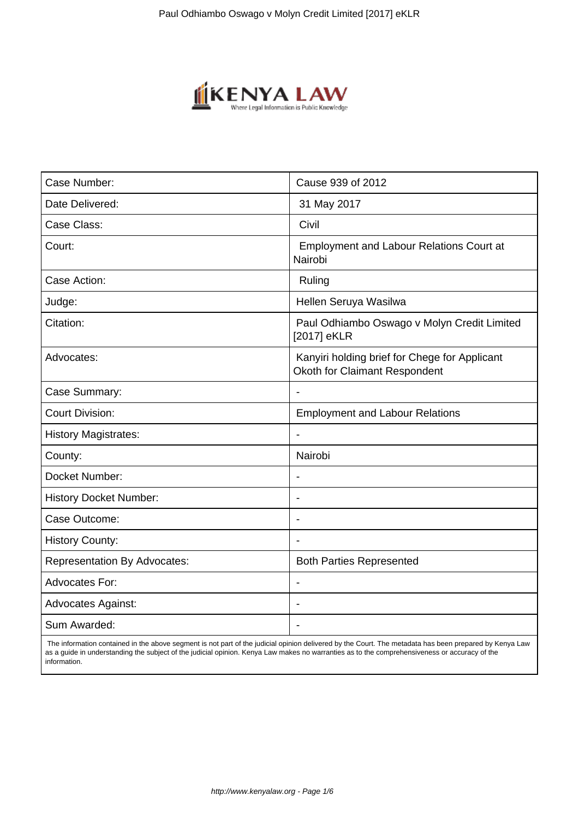

| Case Number:                        | Cause 939 of 2012                                                              |
|-------------------------------------|--------------------------------------------------------------------------------|
| Date Delivered:                     | 31 May 2017                                                                    |
| Case Class:                         | Civil                                                                          |
| Court:                              | <b>Employment and Labour Relations Court at</b><br>Nairobi                     |
| Case Action:                        | Ruling                                                                         |
| Judge:                              | Hellen Seruya Wasilwa                                                          |
| Citation:                           | Paul Odhiambo Oswago v Molyn Credit Limited<br>[2017] eKLR                     |
| Advocates:                          | Kanyiri holding brief for Chege for Applicant<br>Okoth for Claimant Respondent |
| Case Summary:                       |                                                                                |
| <b>Court Division:</b>              | <b>Employment and Labour Relations</b>                                         |
| <b>History Magistrates:</b>         | $\blacksquare$                                                                 |
| County:                             | Nairobi                                                                        |
| Docket Number:                      |                                                                                |
| <b>History Docket Number:</b>       |                                                                                |
| Case Outcome:                       | $\overline{\phantom{0}}$                                                       |
| <b>History County:</b>              |                                                                                |
| <b>Representation By Advocates:</b> | <b>Both Parties Represented</b>                                                |
| <b>Advocates For:</b>               | $\blacksquare$                                                                 |
| <b>Advocates Against:</b>           |                                                                                |
| Sum Awarded:                        |                                                                                |

 The information contained in the above segment is not part of the judicial opinion delivered by the Court. The metadata has been prepared by Kenya Law as a guide in understanding the subject of the judicial opinion. Kenya Law makes no warranties as to the comprehensiveness or accuracy of the information.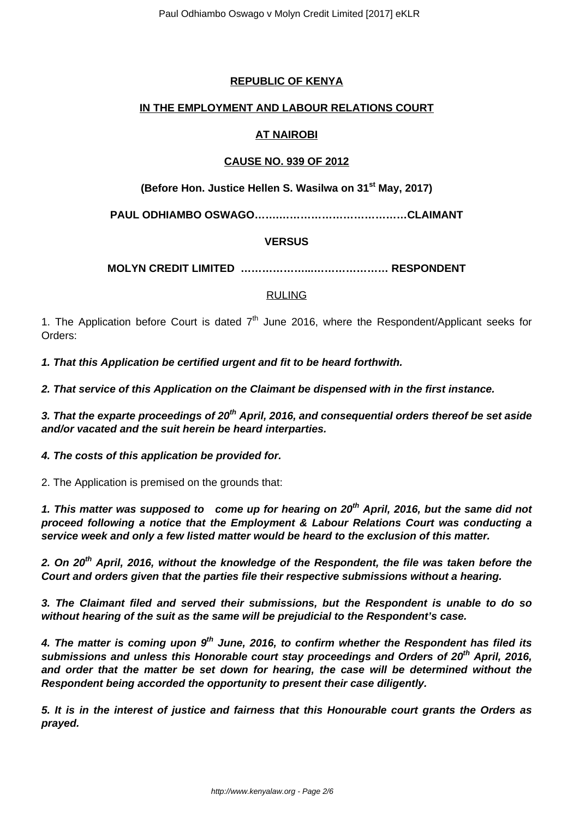## **REPUBLIC OF KENYA**

### **IN THE EMPLOYMENT AND LABOUR RELATIONS COURT**

### **AT NAIROBI**

#### **CAUSE NO. 939 OF 2012**

### **(Before Hon. Justice Hellen S. Wasilwa on 31st May, 2017)**

**PAUL ODHIAMBO OSWAGO…….………………………………CLAIMANT**

#### **VERSUS**

**MOLYN CREDIT LIMITED ………………...………………… RESPONDENT**

#### RULING

1. The Application before Court is dated  $7<sup>th</sup>$  June 2016, where the Respondent/Applicant seeks for Orders:

**1. That this Application be certified urgent and fit to be heard forthwith.**

**2. That service of this Application on the Claimant be dispensed with in the first instance.**

**3. That the exparte proceedings of 20th April, 2016, and consequential orders thereof be set aside and/or vacated and the suit herein be heard interparties.**

**4. The costs of this application be provided for.**

2. The Application is premised on the grounds that:

**1. This matter was supposed to come up for hearing on 20th April, 2016, but the same did not proceed following a notice that the Employment & Labour Relations Court was conducting a service week and only a few listed matter would be heard to the exclusion of this matter.**

**2. On 20th April, 2016, without the knowledge of the Respondent, the file was taken before the Court and orders given that the parties file their respective submissions without a hearing.**

**3. The Claimant filed and served their submissions, but the Respondent is unable to do so without hearing of the suit as the same will be prejudicial to the Respondent's case.**

**4. The matter is coming upon 9th June, 2016, to confirm whether the Respondent has filed its submissions and unless this Honorable court stay proceedings and Orders of 20th April, 2016, and order that the matter be set down for hearing, the case will be determined without the Respondent being accorded the opportunity to present their case diligently.**

**5. It is in the interest of justice and fairness that this Honourable court grants the Orders as prayed.**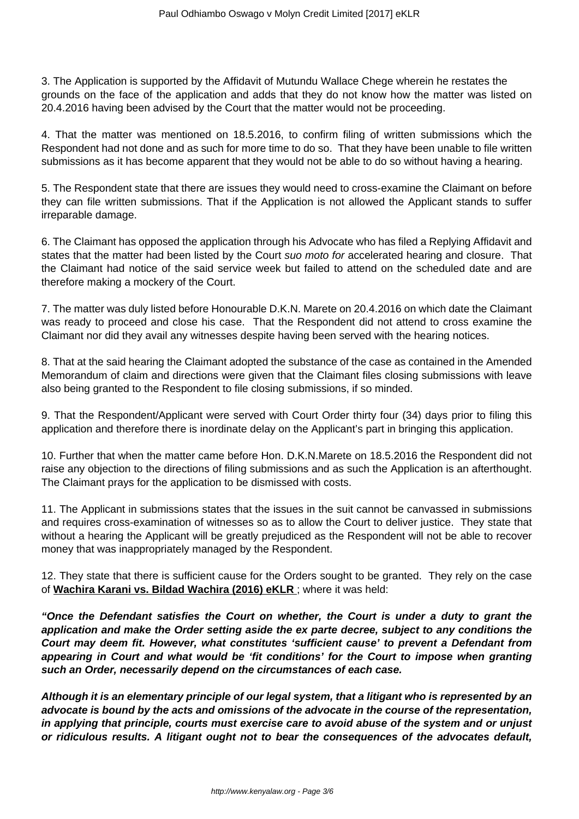3. The Application is supported by the Affidavit of Mutundu Wallace Chege wherein he restates the grounds on the face of the application and adds that they do not know how the matter was listed on 20.4.2016 having been advised by the Court that the matter would not be proceeding.

4. That the matter was mentioned on 18.5.2016, to confirm filing of written submissions which the Respondent had not done and as such for more time to do so. That they have been unable to file written submissions as it has become apparent that they would not be able to do so without having a hearing.

5. The Respondent state that there are issues they would need to cross-examine the Claimant on before they can file written submissions. That if the Application is not allowed the Applicant stands to suffer irreparable damage.

6. The Claimant has opposed the application through his Advocate who has filed a Replying Affidavit and states that the matter had been listed by the Court suo moto for accelerated hearing and closure. That the Claimant had notice of the said service week but failed to attend on the scheduled date and are therefore making a mockery of the Court.

7. The matter was duly listed before Honourable D.K.N. Marete on 20.4.2016 on which date the Claimant was ready to proceed and close his case. That the Respondent did not attend to cross examine the Claimant nor did they avail any witnesses despite having been served with the hearing notices.

8. That at the said hearing the Claimant adopted the substance of the case as contained in the Amended Memorandum of claim and directions were given that the Claimant files closing submissions with leave also being granted to the Respondent to file closing submissions, if so minded.

9. That the Respondent/Applicant were served with Court Order thirty four (34) days prior to filing this application and therefore there is inordinate delay on the Applicant's part in bringing this application.

10. Further that when the matter came before Hon. D.K.N.Marete on 18.5.2016 the Respondent did not raise any objection to the directions of filing submissions and as such the Application is an afterthought. The Claimant prays for the application to be dismissed with costs.

11. The Applicant in submissions states that the issues in the suit cannot be canvassed in submissions and requires cross-examination of witnesses so as to allow the Court to deliver justice. They state that without a hearing the Applicant will be greatly prejudiced as the Respondent will not be able to recover money that was inappropriately managed by the Respondent.

12. They state that there is sufficient cause for the Orders sought to be granted. They rely on the case of **Wachira Karani vs. Bildad Wachira (2016) eKLR** ; where it was held:

**"Once the Defendant satisfies the Court on whether, the Court is under a duty to grant the application and make the Order setting aside the ex parte decree, subject to any conditions the Court may deem fit. However, what constitutes 'sufficient cause' to prevent a Defendant from appearing in Court and what would be 'fit conditions' for the Court to impose when granting such an Order, necessarily depend on the circumstances of each case.**

**Although it is an elementary principle of our legal system, that a litigant who is represented by an advocate is bound by the acts and omissions of the advocate in the course of the representation, in applying that principle, courts must exercise care to avoid abuse of the system and or unjust or ridiculous results. A litigant ought not to bear the consequences of the advocates default,**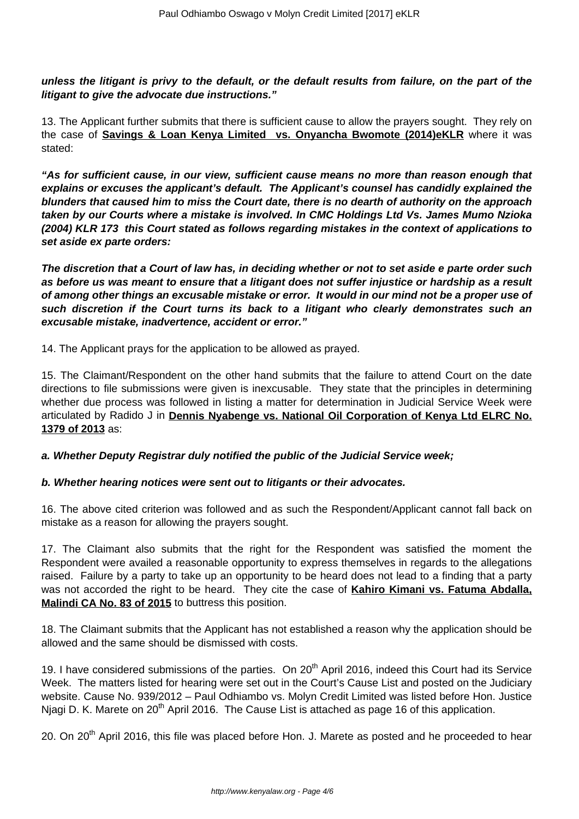### **unless the litigant is privy to the default, or the default results from failure, on the part of the litigant to give the advocate due instructions."**

13. The Applicant further submits that there is sufficient cause to allow the prayers sought. They rely on the case of **Savings & Loan Kenya Limited vs. Onyancha Bwomote (2014)eKLR** where it was stated:

**"As for sufficient cause, in our view, sufficient cause means no more than reason enough that explains or excuses the applicant's default. The Applicant's counsel has candidly explained the blunders that caused him to miss the Court date, there is no dearth of authority on the approach taken by our Courts where a mistake is involved. In CMC Holdings Ltd Vs. James Mumo Nzioka (2004) KLR 173 this Court stated as follows regarding mistakes in the context of applications to set aside ex parte orders:**

**The discretion that a Court of law has, in deciding whether or not to set aside e parte order such as before us was meant to ensure that a litigant does not suffer injustice or hardship as a result of among other things an excusable mistake or error. It would in our mind not be a proper use of such discretion if the Court turns its back to a litigant who clearly demonstrates such an excusable mistake, inadvertence, accident or error."**

14. The Applicant prays for the application to be allowed as prayed.

15. The Claimant/Respondent on the other hand submits that the failure to attend Court on the date directions to file submissions were given is inexcusable. They state that the principles in determining whether due process was followed in listing a matter for determination in Judicial Service Week were articulated by Radido J in **Dennis Nyabenge vs. National Oil Corporation of Kenya Ltd ELRC No. 1379 of 2013** as:

#### **a. Whether Deputy Registrar duly notified the public of the Judicial Service week;**

#### **b. Whether hearing notices were sent out to litigants or their advocates.**

16. The above cited criterion was followed and as such the Respondent/Applicant cannot fall back on mistake as a reason for allowing the prayers sought.

17. The Claimant also submits that the right for the Respondent was satisfied the moment the Respondent were availed a reasonable opportunity to express themselves in regards to the allegations raised. Failure by a party to take up an opportunity to be heard does not lead to a finding that a party was not accorded the right to be heard. They cite the case of **Kahiro Kimani vs. Fatuma Abdalla, Malindi CA No. 83 of 2015** to buttress this position.

18. The Claimant submits that the Applicant has not established a reason why the application should be allowed and the same should be dismissed with costs.

19. I have considered submissions of the parties. On 20<sup>th</sup> April 2016, indeed this Court had its Service Week. The matters listed for hearing were set out in the Court's Cause List and posted on the Judiciary website. Cause No. 939/2012 – Paul Odhiambo vs. Molyn Credit Limited was listed before Hon. Justice Niagi D. K. Marete on 20<sup>th</sup> April 2016. The Cause List is attached as page 16 of this application.

20. On 20<sup>th</sup> April 2016, this file was placed before Hon. J. Marete as posted and he proceeded to hear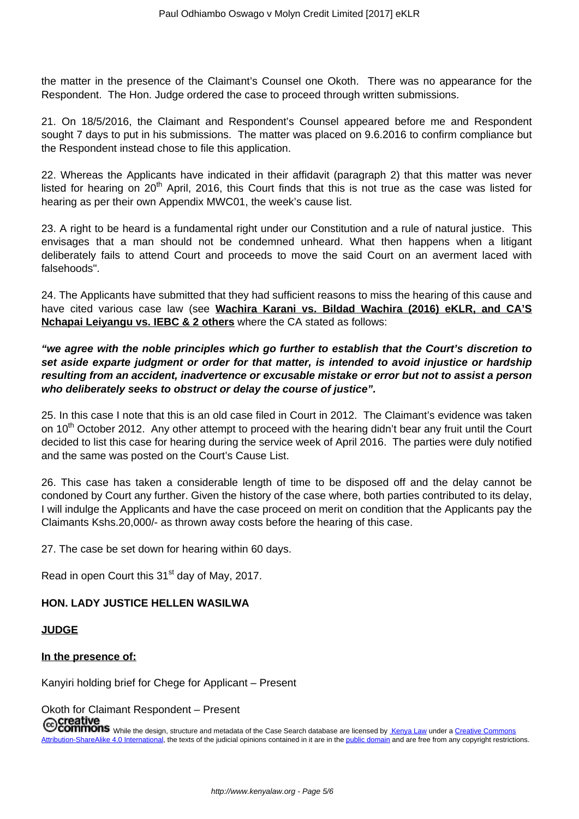the matter in the presence of the Claimant's Counsel one Okoth. There was no appearance for the Respondent. The Hon. Judge ordered the case to proceed through written submissions.

21. On 18/5/2016, the Claimant and Respondent's Counsel appeared before me and Respondent sought 7 days to put in his submissions. The matter was placed on 9.6.2016 to confirm compliance but the Respondent instead chose to file this application.

22. Whereas the Applicants have indicated in their affidavit (paragraph 2) that this matter was never listed for hearing on 20<sup>th</sup> April, 2016, this Court finds that this is not true as the case was listed for hearing as per their own Appendix MWC01, the week's cause list.

23. A right to be heard is a fundamental right under our Constitution and a rule of natural justice. This envisages that a man should not be condemned unheard. What then happens when a litigant deliberately fails to attend Court and proceeds to move the said Court on an averment laced with falsehoods".

24. The Applicants have submitted that they had sufficient reasons to miss the hearing of this cause and have cited various case law (see **Wachira Karani vs. Bildad Wachira (2016) eKLR, and CA'S Nchapai Leiyangu vs. IEBC & 2 others** where the CA stated as follows:

### **"we agree with the noble principles which go further to establish that the Court's discretion to set aside exparte judgment or order for that matter, is intended to avoid injustice or hardship resulting from an accident, inadvertence or excusable mistake or error but not to assist a person who deliberately seeks to obstruct or delay the course of justice".**

25. In this case I note that this is an old case filed in Court in 2012. The Claimant's evidence was taken on 10<sup>th</sup> October 2012. Any other attempt to proceed with the hearing didn't bear any fruit until the Court decided to list this case for hearing during the service week of April 2016. The parties were duly notified and the same was posted on the Court's Cause List.

26. This case has taken a considerable length of time to be disposed off and the delay cannot be condoned by Court any further. Given the history of the case where, both parties contributed to its delay, I will indulge the Applicants and have the case proceed on merit on condition that the Applicants pay the Claimants Kshs.20,000/- as thrown away costs before the hearing of this case.

27. The case be set down for hearing within 60 days.

Read in open Court this 31<sup>st</sup> day of May, 2017.

# **HON. LADY JUSTICE HELLEN WASILWA**

**JUDGE**

#### **In the presence of:**

Kanyiri holding brief for Chege for Applicant – Present

Okoth for Claimant Respondent – Present Creative<br>Commons while the design, structure and metadata of the Case Search database are licensed by Kenya Law under a Creative Commons<br>COMMONS While the design, structure and metadata of the Case Search database are lice Attribution-ShareAlike 4.0 International, the texts of the judicial opinions contained in it are in the public domain and are free from any copyright restrictions.